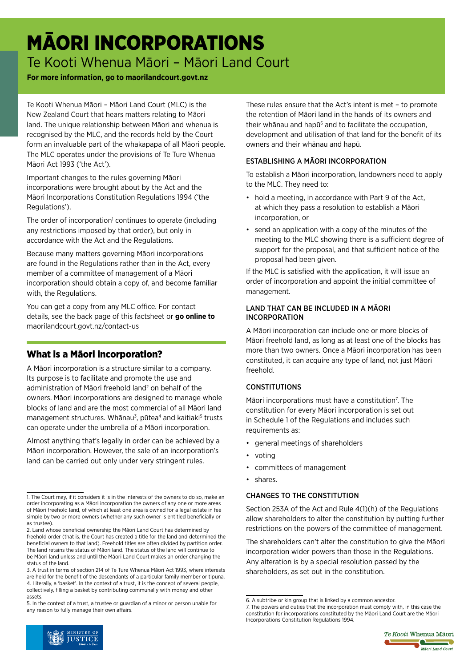# MĀORI INCORPORATIONS Te Kooti Whenua Māori – Māori Land Court

## **For more information, go to maorilandcourt.govt.nz**

Te Kooti Whenua Māori – Māori Land Court (MLC) is the New Zealand Court that hears matters relating to Māori land. The unique relationship between Māori and whenua is recognised by the MLC, and the records held by the Court form an invaluable part of the whakapapa of all Māori people. The MLC operates under the provisions of Te Ture Whenua Māori Act 1993 ('the Act').

Important changes to the rules governing Māori incorporations were brought about by the Act and the Māori Incorporations Constitution Regulations 1994 ('the Regulations').

The order of incorporation<sup>1</sup> continues to operate (including any restrictions imposed by that order), but only in accordance with the Act and the Regulations.

Because many matters governing Māori incorporations are found in the Regulations rather than in the Act, every member of a committee of management of a Māori incorporation should obtain a copy of, and become familiar with, the Regulations.

You can get a copy from any MLC office. For contact details, see the back page of this factsheet or **go online to**  [maorilandcourt.govt.nz/contact-us](http://maorilandcourt.govt.nz/contact-us ) 

# What is a Māori incorporation?

A Māori incorporation is a structure similar to a company. Its purpose is to facilitate and promote the use and administration of Māori freehold land<sup>2</sup> on behalf of the owners. Māori incorporations are designed to manage whole blocks of land and are the most commercial of all Māori land management structures. Whānau<sup>3</sup>, pūtea<sup>4</sup> and kaitiaki<sup>5</sup> trusts can operate under the umbrella of a Māori incorporation.

Almost anything that's legally in order can be achieved by a Māori incorporation. However, the sale of an incorporation's land can be carried out only under very stringent rules.

These rules ensure that the Act's intent is met – to promote the retention of Māori land in the hands of its owners and their whānau and hapū<sup>6</sup> and to facilitate the occupation, development and utilisation of that land for the benefit of its owners and their whānau and hapū.

### ESTABLISHING A MĀORI INCORPORATION

To establish a Māori incorporation, landowners need to apply to the MLC. They need to:

- hold a meeting, in accordance with Part 9 of the Act, at which they pass a resolution to establish a Māori incorporation, or
- send an application with a copy of the minutes of the meeting to the MLC showing there is a sufficient degree of support for the proposal, and that sufficient notice of the proposal had been given.

If the MLC is satisfied with the application, it will issue an order of incorporation and appoint the initial committee of management.

#### LAND THAT CAN BE INCLUDED IN A MĀORI INCORPORATION

A Māori incorporation can include one or more blocks of Māori freehold land, as long as at least one of the blocks has more than two owners. Once a Māori incorporation has been constituted, it can acquire any type of land, not just Māori freehold.

## CONSTITUTIONS

Māori incorporations must have a constitution<sup>7</sup>. The constitution for every Māori incorporation is set out in Schedule 1 of the Regulations and includes such requirements as:

- general meetings of shareholders
- voting
- committees of management
- shares.

#### CHANGES TO THE CONSTITUTION

Section 253A of the Act and Rule 4(1)(h) of the Regulations allow shareholders to alter the constitution by putting further restrictions on the powers of the committee of management.

The shareholders can't alter the constitution to give the Māori incorporation wider powers than those in the Regulations. Any alteration is by a special resolution passed by the shareholders, as set out in the constitution.





<sup>1.</sup> The Court may, if it considers it is in the interests of the owners to do so, make an order incorporating as a Māori incorporation the owners of any one or more areas of Māori freehold land, of which at least one area is owned for a legal estate in fee simple by two or more owners (whether any such owner is entitled beneficially or as trustee).

<sup>2.</sup> Land whose beneficial ownership the Māori Land Court has determined by freehold order (that is, the Court has created a title for the land and determined the beneficial owners to that land). Freehold titles are often divided by partition order. The land retains the status of Māori land. The status of the land will continue to be Māori land unless and until the Māori Land Court makes an order changing the status of the land.

<sup>3.</sup> A trust in terms of section 214 of Te Ture Whenua Māori Act 1993, where interests are held for the benefit of the descendants of a particular family member or tipuna. 4. Literally, a 'basket'. In the context of a trust, it is the concept of several people, collectively, filling a basket by contributing communally with money and other assets.

<sup>5.</sup> In the context of a trust, a trustee or guardian of a minor or person unable for any reason to fully manage their own affairs.

<sup>6.</sup> A subtribe or kin group that is linked by a common ancestor.

<sup>7.</sup> The powers and duties that the incorporation must comply with, in this case the constitution for incorporations constituted by the Māori Land Court are the Māori Incorporations Constitution Regulations 1994.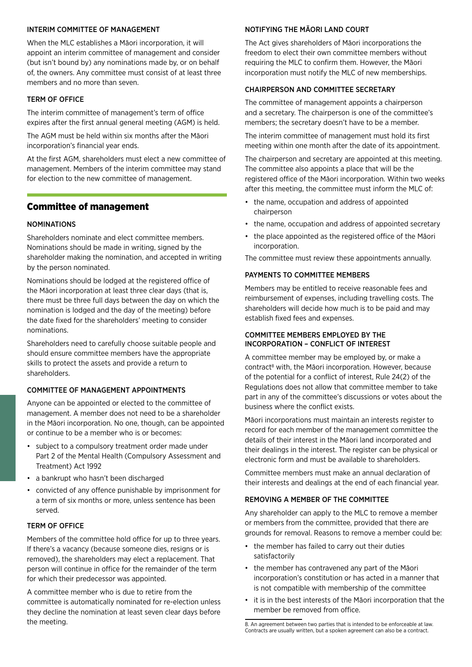#### INTERIM COMMITTEE OF MANAGEMENT

When the MLC establishes a Māori incorporation, it will appoint an interim committee of management and consider (but isn't bound by) any nominations made by, or on behalf of, the owners. Any committee must consist of at least three members and no more than seven.

#### TERM OF OFFICE

The interim committee of management's term of office expires after the first annual general meeting (AGM) is held.

The AGM must be held within six months after the Māori incorporation's financial year ends.

At the first AGM, shareholders must elect a new committee of management. Members of the interim committee may stand for election to the new committee of management.

## Committee of management

#### NOMINATIONS

Shareholders nominate and elect committee members. Nominations should be made in writing, signed by the shareholder making the nomination, and accepted in writing by the person nominated.

Nominations should be lodged at the registered office of the Māori incorporation at least three clear days (that is, there must be three full days between the day on which the nomination is lodged and the day of the meeting) before the date fixed for the shareholders' meeting to consider nominations.

Shareholders need to carefully choose suitable people and should ensure committee members have the appropriate skills to protect the assets and provide a return to shareholders.

#### COMMITTEE OF MANAGEMENT APPOINTMENTS

Anyone can be appointed or elected to the committee of management. A member does not need to be a shareholder in the Māori incorporation. No one, though, can be appointed or continue to be a member who is or becomes:

- subject to a compulsory treatment order made under Part 2 of the Mental Health (Compulsory Assessment and Treatment) Act 1992
- a bankrupt who hasn't been discharged
- convicted of any offence punishable by imprisonment for a term of six months or more, unless sentence has been served.

#### TERM OF OFFICE

Members of the committee hold office for up to three years. If there's a vacancy (because someone dies, resigns or is removed), the shareholders may elect a replacement. That person will continue in office for the remainder of the term for which their predecessor was appointed.

A committee member who is due to retire from the committee is automatically nominated for re-election unless they decline the nomination at least seven clear days before the meeting.

#### NOTIFYING THE MĀORI LAND COURT

The Act gives shareholders of Māori incorporations the freedom to elect their own committee members without requiring the MLC to confirm them. However, the Māori incorporation must notify the MLC of new memberships.

#### CHAIRPERSON AND COMMITTEE SECRETARY

The committee of management appoints a chairperson and a secretary. The chairperson is one of the committee's members; the secretary doesn't have to be a member.

The interim committee of management must hold its first meeting within one month after the date of its appointment.

The chairperson and secretary are appointed at this meeting. The committee also appoints a place that will be the registered office of the Māori incorporation. Within two weeks after this meeting, the committee must inform the MLC of:

- the name, occupation and address of appointed chairperson
- the name, occupation and address of appointed secretary
- the place appointed as the registered office of the Māori incorporation.

The committee must review these appointments annually.

#### PAYMENTS TO COMMITTEE MEMBERS

Members may be entitled to receive reasonable fees and reimbursement of expenses, including travelling costs. The shareholders will decide how much is to be paid and may establish fixed fees and expenses.

#### COMMITTEE MEMBERS EMPLOYED BY THE INCORPORATION – CONFLICT OF INTEREST

A committee member may be employed by, or make a contract<sup>8</sup> with, the Māori incorporation. However, because of the potential for a conflict of interest, Rule 24(2) of the Regulations does not allow that committee member to take part in any of the committee's discussions or votes about the business where the conflict exists.

Māori incorporations must maintain an interests register to record for each member of the management committee the details of their interest in the Māori land incorporated and their dealings in the interest. The register can be physical or electronic form and must be available to shareholders.

Committee members must make an annual declaration of their interests and dealings at the end of each financial year.

#### REMOVING A MEMBER OF THE COMMITTEE

Any shareholder can apply to the MLC to remove a member or members from the committee, provided that there are grounds for removal. Reasons to remove a member could be:

- the member has failed to carry out their duties satisfactorily
- the member has contravened any part of the Māori incorporation's constitution or has acted in a manner that is not compatible with membership of the committee
- it is in the best interests of the Māori incorporation that the member be removed from office.

<sup>8.</sup> An agreement between two parties that is intended to be enforceable at law. Contracts are usually written, but a spoken agreement can also be a contract.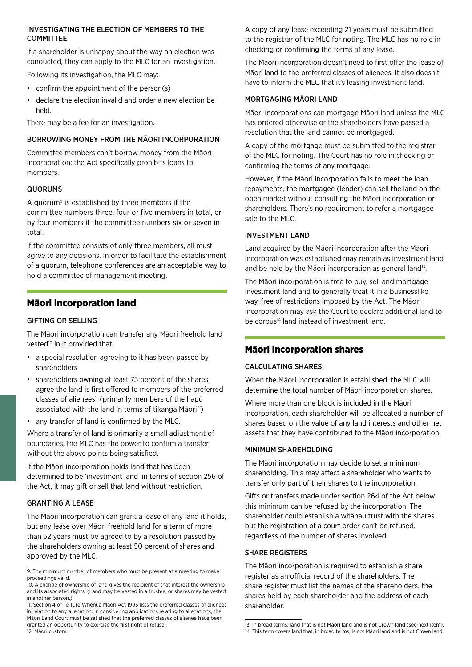#### INVESTIGATING THE ELECTION OF MEMBERS TO THE COMMITTEE

If a shareholder is unhappy about the way an election was conducted, they can apply to the MLC for an investigation.

Following its investigation, the MLC may:

- confirm the appointment of the person(s)
- declare the election invalid and order a new election be held.

There may be a fee for an investigation.

#### BORROWING MONEY FROM THE MĀORI INCORPORATION

Committee members can't borrow money from the Māori incorporation; the Act specifically prohibits loans to members.

#### QUORUMS

A quorum9 is established by three members if the committee numbers three, four or five members in total, or by four members if the committee numbers six or seven in total.

If the committee consists of only three members, all must agree to any decisions. In order to facilitate the establishment of a quorum, telephone conferences are an acceptable way to hold a committee of management meeting.

## Māori incorporation land

#### GIFTING OR SELLING

The Māori incorporation can transfer any Māori freehold land vested<sup>10</sup> in it provided that:

- a special resolution agreeing to it has been passed by shareholders
- shareholders owning at least 75 percent of the shares agree the land is first offered to members of the preferred classes of alienees<sup>11</sup> (primarily members of the hapū associated with the land in terms of tikanga Māori<sup>12</sup>)
- any transfer of land is confirmed by the MLC.

Where a transfer of land is primarily a small adjustment of boundaries, the MLC has the power to confirm a transfer without the above points being satisfied.

If the Māori incorporation holds land that has been determined to be 'investment land' in terms of section 256 of the Act, it may gift or sell that land without restriction.

#### GRANTING A LEASE

The Māori incorporation can grant a lease of any land it holds, but any lease over Māori freehold land for a term of more than 52 years must be agreed to by a resolution passed by the shareholders owning at least 50 percent of shares and approved by the MLC.

A copy of any lease exceeding 21 years must be submitted to the registrar of the MLC for noting. The MLC has no role in checking or confirming the terms of any lease.

The Māori incorporation doesn't need to first offer the lease of Māori land to the preferred classes of alienees. It also doesn't have to inform the MLC that it's leasing investment land.

#### MORTGAGING MĀORI LAND

Māori incorporations can mortgage Māori land unless the MLC has ordered otherwise or the shareholders have passed a resolution that the land cannot be mortgaged.

A copy of the mortgage must be submitted to the registrar of the MLC for noting. The Court has no role in checking or confirming the terms of any mortgage.

However, if the Māori incorporation fails to meet the loan repayments, the mortgagee (lender) can sell the land on the open market without consulting the Māori incorporation or shareholders. There's no requirement to refer a mortgagee sale to the MLC.

#### INVESTMENT LAND

Land acquired by the Māori incorporation after the Māori incorporation was established may remain as investment land and be held by the Māori incorporation as general land<sup>13</sup>.

The Māori incorporation is free to buy, sell and mortgage investment land and to generally treat it in a businesslike way, free of restrictions imposed by the Act. The Māori incorporation may ask the Court to declare additional land to be corpus<sup>14</sup> land instead of investment land.

## Māori incorporation shares

#### CALCULATING SHARES

When the Māori incorporation is established, the MLC will determine the total number of Māori incorporation shares.

Where more than one block is included in the Māori incorporation, each shareholder will be allocated a number of shares based on the value of any land interests and other net assets that they have contributed to the Māori incorporation.

#### MINIMUM SHARFHOLDING

The Māori incorporation may decide to set a minimum shareholding. This may affect a shareholder who wants to transfer only part of their shares to the incorporation.

Gifts or transfers made under section 264 of the Act below this minimum can be refused by the incorporation. The shareholder could establish a whānau trust with the shares but the registration of a court order can't be refused, regardless of the number of shares involved.

#### SHARE REGISTERS

The Māori incorporation is required to establish a share register as an official record of the shareholders. The share register must list the names of the shareholders, the shares held by each shareholder and the address of each shareholder.

<sup>9.</sup> The minimum number of members who must be present at a meeting to make proceedings valid.

<sup>10.</sup> A change of ownership of land gives the recipient of that interest the ownership and its associated rights. (Land may be vested in a trustee, or shares may be vested in another person.)

<sup>11.</sup> Section 4 of Te Ture Whenua Māori Act 1993 lists the preferred classes of alienees in relation to any alienation. In considering applications relating to alienations, the Māori Land Court must be satisfied that the preferred classes of alienee have been granted an opportunity to exercise the first right of refusal. 12. Māori custom.

<sup>13.</sup> In broad terms, land that is not Māori land and is not Crown land (see next item). 14. This term covers land that, in broad terms, is not Māori land and is not Crown land.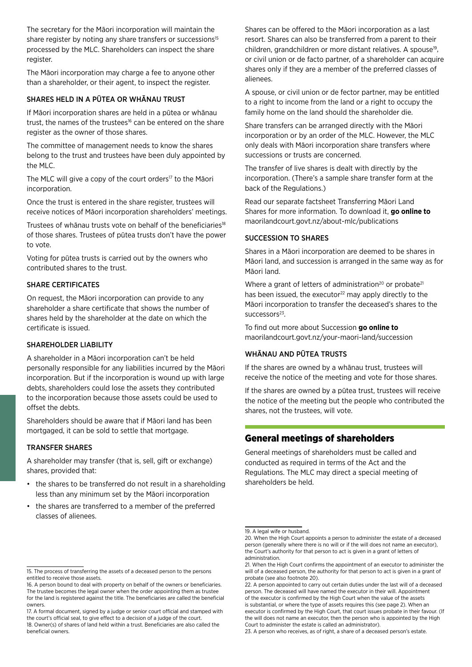The secretary for the Māori incorporation will maintain the share register by noting any share transfers or successions<sup>15</sup> processed by the MLC. Shareholders can inspect the share register.

The Māori incorporation may charge a fee to anyone other than a shareholder, or their agent, to inspect the register.

#### SHARES HELD IN A PŪTEA OR WHĀNAU TRUST

If Māori incorporation shares are held in a pūtea or whānau trust, the names of the trustees<sup>16</sup> can be entered on the share register as the owner of those shares.

The committee of management needs to know the shares belong to the trust and trustees have been duly appointed by the MLC.

The MLC will give a copy of the court orders<sup>17</sup> to the Māori incorporation.

Once the trust is entered in the share register, trustees will receive notices of Māori incorporation shareholders' meetings.

Trustees of whānau trusts vote on behalf of the beneficiaries<sup>18</sup> of those shares. Trustees of pūtea trusts don't have the power to vote.

Voting for pūtea trusts is carried out by the owners who contributed shares to the trust.

#### SHARE CERTIFICATES

On request, the Māori incorporation can provide to any shareholder a share certificate that shows the number of shares held by the shareholder at the date on which the certificate is issued.

#### SHAREHOLDER LIABILITY

A shareholder in a Māori incorporation can't be held personally responsible for any liabilities incurred by the Māori incorporation. But if the incorporation is wound up with large debts, shareholders could lose the assets they contributed to the incorporation because those assets could be used to offset the debts.

Shareholders should be aware that if Māori land has been mortgaged, it can be sold to settle that mortgage.

#### TRANSFER SHARES

A shareholder may transfer (that is, sell, gift or exchange) shares, provided that:

- the shares to be transferred do not result in a shareholding less than any minimum set by the Māori incorporation
- the shares are transferred to a member of the preferred classes of alienees.

Shares can be offered to the Māori incorporation as a last resort. Shares can also be transferred from a parent to their children, grandchildren or more distant relatives. A spouse<sup>19</sup>, or civil union or de facto partner, of a shareholder can acquire shares only if they are a member of the preferred classes of alienees.

A spouse, or civil union or de fector partner, may be entitled to a right to income from the land or a right to occupy the family home on the land should the shareholder die.

Share transfers can be arranged directly with the Māori incorporation or by an order of the MLC. However, the MLC only deals with Māori incorporation share transfers where successions or trusts are concerned.

The transfer of live shares is dealt with directly by the incorporation. (There's a sample share transfer form at the back of the Regulations.)

Read our separate factsheet Transferring Māori Land Shares for more information. To download it, **go online to** [maorilandcourt.govt.nz/about-mlc/publications](http://maorilandcourt.govt.nz/about-mlc/publications)

#### SUCCESSION TO SHARES

Shares in a Māori incorporation are deemed to be shares in Māori land, and succession is arranged in the same way as for Māori land.

Where a grant of letters of administration<sup>20</sup> or probate<sup>21</sup> has been issued, the executor<sup>22</sup> may apply directly to the Māori incorporation to transfer the deceased's shares to the successors<sup>23</sup>.

To find out more about Succession **go online to** [maorilandcourt.govt.nz/your-maori-land/succession](http://maorilandcourt.govt.nz/your-maori-land/succession)

#### WHĀNAU AND PŪTEA TRUSTS

If the shares are owned by a whānau trust, trustees will receive the notice of the meeting and vote for those shares.

If the shares are owned by a pūtea trust, trustees will receive the notice of the meeting but the people who contributed the shares, not the trustees, will vote.

## General meetings of shareholders

General meetings of shareholders must be called and conducted as required in terms of the Act and the Regulations. The MLC may direct a special meeting of shareholders be held.

<sup>15.</sup> The process of transferring the assets of a deceased person to the persons entitled to receive those assets.

<sup>16.</sup> A person bound to deal with property on behalf of the owners or beneficiaries. The trustee becomes the legal owner when the order appointing them as trustee for the land is registered against the title. The beneficiaries are called the beneficial owners.

<sup>17.</sup> A formal document, signed by a judge or senior court official and stamped with the court's official seal, to give effect to a decision of a judge of the court. 18. Owner(s) of shares of land held within a trust. Beneficiaries are also called the beneficial owners.

<sup>19.</sup> A legal wife or husband.

<sup>20.</sup> When the High Court appoints a person to administer the estate of a deceased person (generally where there is no will or if the will does not name an executor), the Court's authority for that person to act is given in a grant of letters of administration.

<sup>21.</sup> When the High Court confirms the appointment of an executor to administer the will of a deceased person, the authority for that person to act is given in a grant of probate (see also footnote 20).

<sup>22.</sup> A person appointed to carry out certain duties under the last will of a deceased person. The deceased will have named the executor in their will. Appointment of the executor is confirmed by the High Court when the value of the assets

is substantial, or where the type of assets requires this (see page 2). When an executor is confirmed by the High Court, that court issues probate in their favour. (If the will does not name an executor, then the person who is appointed by the High Court to administer the estate is called an administrator).

<sup>23.</sup> A person who receives, as of right, a share of a deceased person's estate.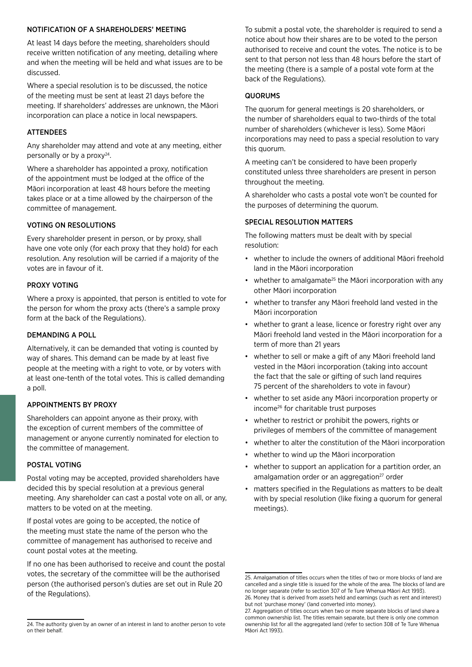#### NOTIFICATION OF A SHAREHOLDERS' MEETING

At least 14 days before the meeting, shareholders should receive written notification of any meeting, detailing where and when the meeting will be held and what issues are to be discussed.

Where a special resolution is to be discussed, the notice of the meeting must be sent at least 21 days before the meeting. If shareholders' addresses are unknown, the Māori incorporation can place a notice in local newspapers.

#### ATTENDEES

Any shareholder may attend and vote at any meeting, either personally or by a proxy $24$ .

Where a shareholder has appointed a proxy, notification of the appointment must be lodged at the office of the Māori incorporation at least 48 hours before the meeting takes place or at a time allowed by the chairperson of the committee of management.

#### VOTING ON RESOLUTIONS

Every shareholder present in person, or by proxy, shall have one vote only (for each proxy that they hold) for each resolution. Any resolution will be carried if a majority of the votes are in favour of it.

#### PROXY VOTING

Where a proxy is appointed, that person is entitled to vote for the person for whom the proxy acts (there's a sample proxy form at the back of the Regulations).

#### DEMANDING A POLL

Alternatively, it can be demanded that voting is counted by way of shares. This demand can be made by at least five people at the meeting with a right to vote, or by voters with at least one-tenth of the total votes. This is called demanding a poll.

#### APPOINTMENTS BY PROXY

Shareholders can appoint anyone as their proxy, with the exception of current members of the committee of management or anyone currently nominated for election to the committee of management.

#### POSTAL VOTING

Postal voting may be accepted, provided shareholders have decided this by special resolution at a previous general meeting. Any shareholder can cast a postal vote on all, or any, matters to be voted on at the meeting.

If postal votes are going to be accepted, the notice of the meeting must state the name of the person who the committee of management has authorised to receive and count postal votes at the meeting.

If no one has been authorised to receive and count the postal votes, the secretary of the committee will be the authorised person (the authorised person's duties are set out in Rule 20 of the Regulations).

To submit a postal vote, the shareholder is required to send a notice about how their shares are to be voted to the person authorised to receive and count the votes. The notice is to be sent to that person not less than 48 hours before the start of the meeting (there is a sample of a postal vote form at the back of the Regulations).

#### **QUORUMS**

The quorum for general meetings is 20 shareholders, or the number of shareholders equal to two-thirds of the total number of shareholders (whichever is less). Some Māori incorporations may need to pass a special resolution to vary this quorum.

A meeting can't be considered to have been properly constituted unless three shareholders are present in person throughout the meeting.

A shareholder who casts a postal vote won't be counted for the purposes of determining the quorum.

#### SPECIAL RESOLUTION MATTERS

The following matters must be dealt with by special resolution:

- whether to include the owners of additional Māori freehold land in the Māori incorporation
- whether to amalgamate<sup>25</sup> the Māori incorporation with any other Māori incorporation
- whether to transfer any Māori freehold land vested in the Māori incorporation
- whether to grant a lease, licence or forestry right over any Māori freehold land vested in the Māori incorporation for a term of more than 21 years
- whether to sell or make a gift of any Māori freehold land vested in the Māori incorporation (taking into account the fact that the sale or gifting of such land requires 75 percent of the shareholders to vote in favour)
- whether to set aside any Māori incorporation property or income26 for charitable trust purposes
- whether to restrict or prohibit the powers, rights or privileges of members of the committee of management
- whether to alter the constitution of the Māori incorporation
- whether to wind up the Māori incorporation
- whether to support an application for a partition order, an amalgamation order or an aggregation<sup>27</sup> order
- matters specified in the Regulations as matters to be dealt with by special resolution (like fixing a quorum for general meetings).

<sup>24.</sup> The authority given by an owner of an interest in land to another person to vote on their behalf.

<sup>25.</sup> Amalgamation of titles occurs when the titles of two or more blocks of land are cancelled and a single title is issued for the whole of the area. The blocks of land are no longer separate (refer to section 307 of Te Ture Whenua Māori Act 1993). 26. Money that is derived from assets held and earnings (such as rent and interest)

but not 'purchase money' (land converted into money). 27. Aggregation of titles occurs when two or more separate blocks of land share a common ownership list. The titles remain separate, but there is only one common ownership list for all the aggregated land (refer to section 308 of Te Ture Whenua Māori Act 1993).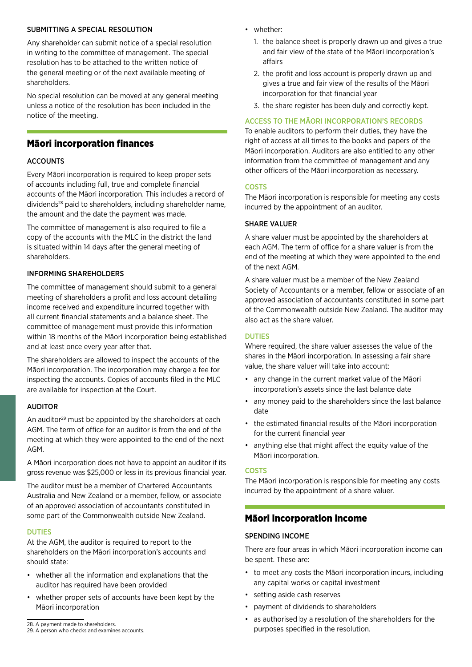#### SUBMITTING A SPECIAL RESOLUTION

Any shareholder can submit notice of a special resolution in writing to the committee of management. The special resolution has to be attached to the written notice of the general meeting or of the next available meeting of shareholders.

No special resolution can be moved at any general meeting unless a notice of the resolution has been included in the notice of the meeting.

## Māori incorporation finances

#### ACCOUNTS

Every Māori incorporation is required to keep proper sets of accounts including full, true and complete financial accounts of the Māori incorporation. This includes a record of dividends28 paid to shareholders, including shareholder name, the amount and the date the payment was made.

The committee of management is also required to file a copy of the accounts with the MLC in the district the land is situated within 14 days after the general meeting of shareholders.

#### INFORMING SHAREHOLDERS

The committee of management should submit to a general meeting of shareholders a profit and loss account detailing income received and expenditure incurred together with all current financial statements and a balance sheet. The committee of management must provide this information within 18 months of the Māori incorporation being established and at least once every year after that.

The shareholders are allowed to inspect the accounts of the Māori incorporation. The incorporation may charge a fee for inspecting the accounts. Copies of accounts filed in the MLC are available for inspection at the Court.

#### AUDITOR

An auditor<sup>29</sup> must be appointed by the shareholders at each AGM. The term of office for an auditor is from the end of the meeting at which they were appointed to the end of the next AGM.

A Māori incorporation does not have to appoint an auditor if its gross revenue was \$25,000 or less in its previous financial year.

The auditor must be a member of Chartered Accountants Australia and New Zealand or a member, fellow, or associate of an approved association of accountants constituted in some part of the Commonwealth outside New Zealand.

#### DUTIES

At the AGM, the auditor is required to report to the shareholders on the Māori incorporation's accounts and should state:

- whether all the information and explanations that the auditor has required have been provided
- whether proper sets of accounts have been kept by the Māori incorporation
- whether:
	- 1. the balance sheet is properly drawn up and gives a true and fair view of the state of the Māori incorporation's affairs
	- 2. the profit and loss account is properly drawn up and gives a true and fair view of the results of the Māori incorporation for that financial year
	- 3. the share register has been duly and correctly kept.

#### ACCESS TO THE MĀORI INCORPORATION'S RECORDS

To enable auditors to perform their duties, they have the right of access at all times to the books and papers of the Māori incorporation. Auditors are also entitled to any other information from the committee of management and any other officers of the Māori incorporation as necessary.

#### **COSTS**

The Māori incorporation is responsible for meeting any costs incurred by the appointment of an auditor.

#### SHARE VALUER

A share valuer must be appointed by the shareholders at each AGM. The term of office for a share valuer is from the end of the meeting at which they were appointed to the end of the next AGM.

A share valuer must be a member of the New Zealand Society of Accountants or a member, fellow or associate of an approved association of accountants constituted in some part of the Commonwealth outside New Zealand. The auditor may also act as the share valuer.

#### DUTIES

Where required, the share valuer assesses the value of the shares in the Māori incorporation. In assessing a fair share value, the share valuer will take into account:

- any change in the current market value of the Māori incorporation's assets since the last balance date
- any money paid to the shareholders since the last balance date
- the estimated financial results of the Māori incorporation for the current financial year
- anything else that might affect the equity value of the Māori incorporation.

#### COSTS

The Māori incorporation is responsible for meeting any costs incurred by the appointment of a share valuer.

#### Māori incorporation income

#### SPENDING INCOME

There are four areas in which Māori incorporation income can be spent. These are:

- to meet any costs the Māori incorporation incurs, including any capital works or capital investment
- setting aside cash reserves
- payment of dividends to shareholders
- as authorised by a resolution of the shareholders for the purposes specified in the resolution.

<sup>28.</sup> A payment made to shareholders.

<sup>29.</sup> A person who checks and examines accounts.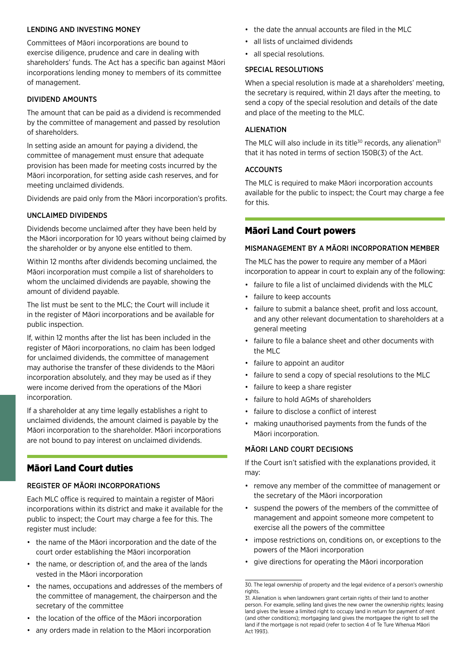#### LENDING AND INVESTING MONEY

Committees of Māori incorporations are bound to exercise diligence, prudence and care in dealing with shareholders' funds. The Act has a specific ban against Māori incorporations lending money to members of its committee of management.

#### DIVIDEND AMOUNTS

The amount that can be paid as a dividend is recommended by the committee of management and passed by resolution of shareholders.

In setting aside an amount for paying a dividend, the committee of management must ensure that adequate provision has been made for meeting costs incurred by the Māori incorporation, for setting aside cash reserves, and for meeting unclaimed dividends.

Dividends are paid only from the Māori incorporation's profits.

#### UNCLAIMED DIVIDENDS

Dividends become unclaimed after they have been held by the Māori incorporation for 10 years without being claimed by the shareholder or by anyone else entitled to them.

Within 12 months after dividends becoming unclaimed, the Māori incorporation must compile a list of shareholders to whom the unclaimed dividends are payable, showing the amount of dividend payable.

The list must be sent to the MLC; the Court will include it in the register of Māori incorporations and be available for public inspection.

If, within 12 months after the list has been included in the register of Māori incorporations, no claim has been lodged for unclaimed dividends, the committee of management may authorise the transfer of these dividends to the Māori incorporation absolutely, and they may be used as if they were income derived from the operations of the Māori incorporation.

If a shareholder at any time legally establishes a right to unclaimed dividends, the amount claimed is payable by the Māori incorporation to the shareholder. Māori incorporations are not bound to pay interest on unclaimed dividends.

# Māori Land Court duties

#### REGISTER OF MĀORI INCORPORATIONS

Each MLC office is required to maintain a register of Māori incorporations within its district and make it available for the public to inspect; the Court may charge a fee for this. The register must include:

- the name of the Māori incorporation and the date of the court order establishing the Māori incorporation
- the name, or description of, and the area of the lands vested in the Māori incorporation
- the names, occupations and addresses of the members of the committee of management, the chairperson and the secretary of the committee
- the location of the office of the Māori incorporation
- any orders made in relation to the Māori incorporation
- the date the annual accounts are filed in the MLC
- all lists of unclaimed dividends
- all special resolutions.

## SPECIAL RESOLUTIONS

When a special resolution is made at a shareholders' meeting, the secretary is required, within 21 days after the meeting, to send a copy of the special resolution and details of the date and place of the meeting to the MLC.

## ALIENATION

The MLC will also include in its title<sup>30</sup> records, any alienation<sup>31</sup> that it has noted in terms of section 150B(3) of the Act.

#### **ACCOUNTS**

The MLC is required to make Māori incorporation accounts available for the public to inspect; the Court may charge a fee for this.

## Māori Land Court powers

#### MISMANAGEMENT BY A MĀORI INCORPORATION MEMBER

The MLC has the power to require any member of a Māori incorporation to appear in court to explain any of the following:

- failure to file a list of unclaimed dividends with the MLC
- failure to keep accounts
- failure to submit a balance sheet, profit and loss account, and any other relevant documentation to shareholders at a general meeting
- failure to file a balance sheet and other documents with the MLC
- failure to appoint an auditor
- failure to send a copy of special resolutions to the MLC
- failure to keep a share register
- failure to hold AGMs of shareholders
- failure to disclose a conflict of interest
- making unauthorised payments from the funds of the Māori incorporation.

#### MĀORI LAND COURT DECISIONS

If the Court isn't satisfied with the explanations provided, it may:

- remove any member of the committee of management or the secretary of the Māori incorporation
- suspend the powers of the members of the committee of management and appoint someone more competent to exercise all the powers of the committee
- impose restrictions on, conditions on, or exceptions to the powers of the Māori incorporation
- give directions for operating the Māori incorporation

<sup>30.</sup> The legal ownership of property and the legal evidence of a person's ownership rights.

<sup>31.</sup> Alienation is when landowners grant certain rights of their land to another person. For example, selling land gives the new owner the ownership rights; leasing land gives the lessee a limited right to occupy land in return for payment of rent (and other conditions); mortgaging land gives the mortgagee the right to sell the land if the mortgage is not repaid (refer to section 4 of Te Ture Whenua Māori Act 1993).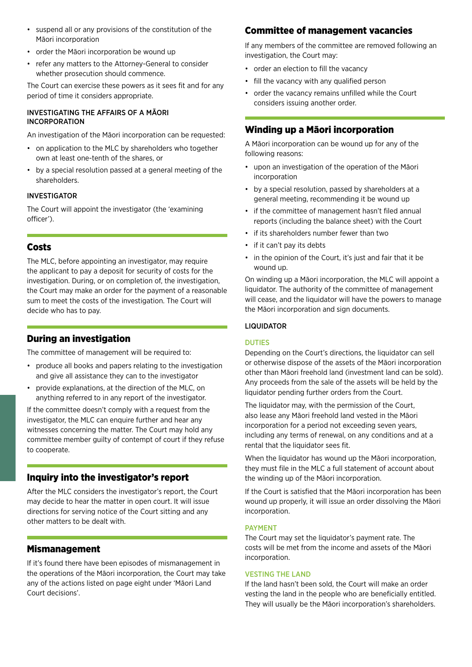- suspend all or any provisions of the constitution of the Māori incorporation
- order the Māori incorporation be wound up
- refer any matters to the Attorney-General to consider whether prosecution should commence.

The Court can exercise these powers as it sees fit and for any period of time it considers appropriate.

#### INVESTIGATING THE AFFAIRS OF A MĀORI INCORPORATION

An investigation of the Māori incorporation can be requested:

- on application to the MLC by shareholders who together own at least one-tenth of the shares, or
- by a special resolution passed at a general meeting of the shareholders.

#### INVESTIGATOR

The Court will appoint the investigator (the 'examining officer').

## Costs

The MLC, before appointing an investigator, may require the applicant to pay a deposit for security of costs for the investigation. During, or on completion of, the investigation, the Court may make an order for the payment of a reasonable sum to meet the costs of the investigation. The Court will decide who has to pay.

## During an investigation

The committee of management will be required to:

- produce all books and papers relating to the investigation and give all assistance they can to the investigator
- provide explanations, at the direction of the MLC, on anything referred to in any report of the investigator.

If the committee doesn't comply with a request from the investigator, the MLC can enquire further and hear any witnesses concerning the matter. The Court may hold any committee member guilty of contempt of court if they refuse to cooperate.

## Inquiry into the investigator's report

After the MLC considers the investigator's report, the Court may decide to hear the matter in open court. It will issue directions for serving notice of the Court sitting and any other matters to be dealt with.

## Mismanagement

If it's found there have been episodes of mismanagement in the operations of the Māori incorporation, the Court may take any of the actions listed on page eight under 'Māori Land Court decisions'.

## Committee of management vacancies

If any members of the committee are removed following an investigation, the Court may:

- order an election to fill the vacancy
- fill the vacancy with any qualified person
- order the vacancy remains unfilled while the Court considers issuing another order.

## Winding up a Māori incorporation

A Māori incorporation can be wound up for any of the following reasons:

- upon an investigation of the operation of the Māori incorporation
- by a special resolution, passed by shareholders at a general meeting, recommending it be wound up
- if the committee of management hasn't filed annual reports (including the balance sheet) with the Court
- if its shareholders number fewer than two
- if it can't pay its debts
- in the opinion of the Court, it's just and fair that it be wound up.

On winding up a Māori incorporation, the MLC will appoint a liquidator. The authority of the committee of management will cease, and the liquidator will have the powers to manage the Māori incorporation and sign documents.

#### LIQUIDATOR

#### DUTIES

Depending on the Court's directions, the liquidator can sell or otherwise dispose of the assets of the Māori incorporation other than Māori freehold land (investment land can be sold). Any proceeds from the sale of the assets will be held by the liquidator pending further orders from the Court.

The liquidator may, with the permission of the Court, also lease any Māori freehold land vested in the Māori incorporation for a period not exceeding seven years, including any terms of renewal, on any conditions and at a rental that the liquidator sees fit.

When the liquidator has wound up the Māori incorporation. they must file in the MLC a full statement of account about the winding up of the Māori incorporation.

If the Court is satisfied that the Māori incorporation has been wound up properly, it will issue an order dissolving the Māori incorporation.

#### **PAYMENT**

The Court may set the liquidator's payment rate. The costs will be met from the income and assets of the Māori incorporation.

#### VESTING THE LAND

If the land hasn't been sold, the Court will make an order vesting the land in the people who are beneficially entitled. They will usually be the Māori incorporation's shareholders.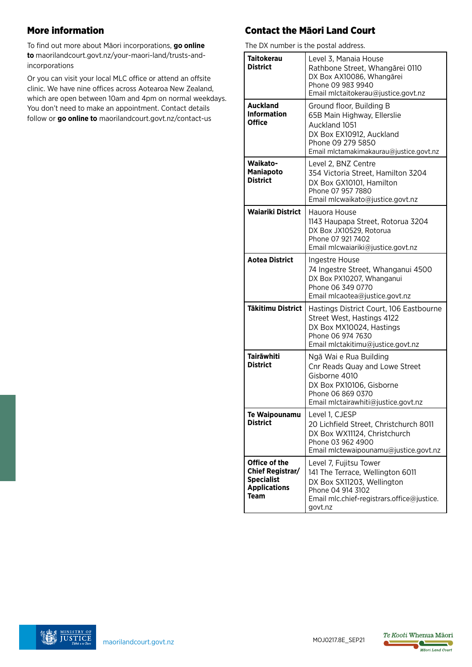# More information

To find out more about Māori incorporations, **go online to** [maorilandcourt.govt.nz/your-maori-land/trusts-and](http://maorilandcourt.govt.nz/your-maori-land/trusts-and- incorporations )[incorporations](http://maorilandcourt.govt.nz/your-maori-land/trusts-and- incorporations )

Or you can visit your local MLC office or attend an offsite clinic. We have nine offices across Aotearoa New Zealand, which are open between 10am and 4pm on normal weekdays. You don't need to make an appointment. Contact details follow or **go online to** [maorilandcourt.govt.nz/contact-us](http://maorilandcourt.govt.nz/contact-us)

# Contact the Māori Land Court

The DX number is the postal address.

| THE DATION IN THE RUSSIAN GUARD.                                                      |                                                                                                                                                                        |
|---------------------------------------------------------------------------------------|------------------------------------------------------------------------------------------------------------------------------------------------------------------------|
| <b>Taitokerau</b><br><b>District</b>                                                  | Level 3, Manaia House<br>Rathbone Street, Whangārei 0110<br>DX Box AX10086, Whangārei<br>Phone 09 983 9940<br>Email mlctaitokerau@justice.govt.nz                      |
| <b>Auckland</b><br><b>Information</b><br>Office                                       | Ground floor, Building B<br>65B Main Highway, Ellerslie<br>Auckland 1051<br>DX Box EX10912, Auckland<br>Phone 09 279 5850<br>Email mlctamakimakaurau@justice.govt.nz   |
| Waikato-<br><b>Maniapoto</b><br><b>District</b>                                       | Level 2, BNZ Centre<br>354 Victoria Street, Hamilton 3204<br>DX Box GX10101, Hamilton<br>Phone 07 957 7880<br>Email mlcwaikato@justice.govt.nz                         |
| <b>Waiariki District</b>                                                              | Hauora House<br>1143 Haupapa Street, Rotorua 3204<br>DX Box JX10529, Rotorua<br>Phone 07 921 7402<br>Email mlcwaiariki@justice.govt.nz                                 |
| <b>Aotea District</b>                                                                 | Ingestre House<br>74 Ingestre Street, Whanganui 4500<br>DX Box PX10207, Whanganui<br>Phone 06 349 0770<br>Email mlcaotea@justice.govt.nz                               |
| <b>Tākitimu District</b>                                                              | Hastings District Court, 106 Eastbourne<br>Street West, Hastings 4122<br>DX Box MX10024, Hastings<br>Phone 06 974 7630<br>Email mlctakitimu@justice.govt.nz            |
| <b>Tairāwhiti</b><br><b>District</b>                                                  | Ngā Wai e Rua Building<br>Cnr Reads Quay and Lowe Street<br>Gisborne 4010<br>DX Box PX10106, Gisborne<br>Phone 06 869 0370<br>Email mlctairawhiti@justice.govt.nz      |
| <b>Te Waipounamu</b><br><b>District</b>                                               | Level 1, CJESP<br>20 Lichfield Street, Christchurch 8011<br>DX Box WX11124, Christchurch<br>Phone 03 962 4900<br>Email mlctewaipounamu@justice.govt.nz                 |
| Office of the<br>Chief Registrar/<br><b>Specialist</b><br><b>Applications</b><br>Team | Level 7, Fujitsu Tower<br>141 The Terrace, Wellington 6011<br>DX Box SX11203, Wellington<br>Phone 04 914 3102<br>Email mlc.chief-registrars.office@justice.<br>govt.nz |